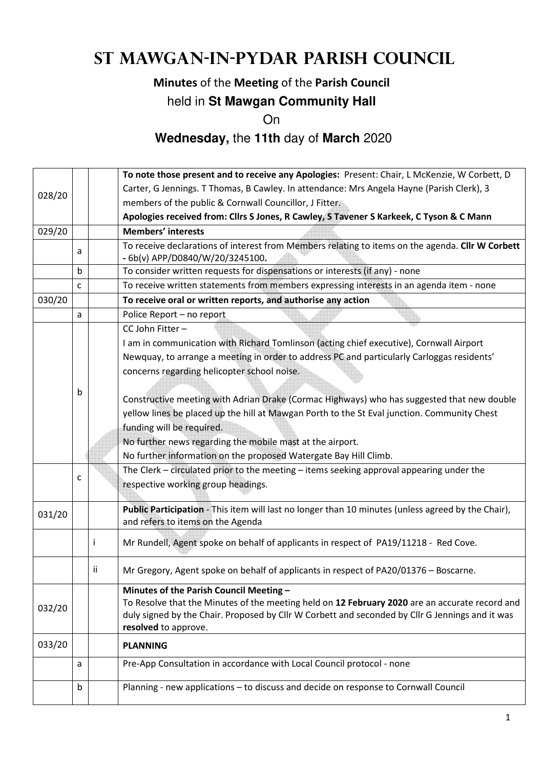# **St Mawgan-in-Pydar Parish Council**

#### **Minutes** of the **Meeting** of the **Parish Council**

#### held in **St Mawgan Community Hall**

On

### **Wednesday,** the **11th** day of **March** 2020

|        |   |    | To note those present and to receive any Apologies: Present: Chair, L McKenzie, W Corbett, D                                            |  |  |  |  |  |
|--------|---|----|-----------------------------------------------------------------------------------------------------------------------------------------|--|--|--|--|--|
| 028/20 |   |    | Carter, G Jennings. T Thomas, B Cawley. In attendance: Mrs Angela Hayne (Parish Clerk), 3                                               |  |  |  |  |  |
|        |   |    | members of the public & Cornwall Councillor, J Fitter.                                                                                  |  |  |  |  |  |
|        |   |    | Apologies received from: Cllrs S Jones, R Cawley, S Tavener S Karkeek, C Tyson & C Mann                                                 |  |  |  |  |  |
| 029/20 |   |    | <b>Members' interests</b>                                                                                                               |  |  |  |  |  |
|        | a |    | To receive declarations of interest from Members relating to items on the agenda. Cllr W Corbett<br>- 6b(v) APP/D0840/W/20/3245100.     |  |  |  |  |  |
|        | b |    | To consider written requests for dispensations or interests (if any) - none                                                             |  |  |  |  |  |
|        | C |    | To receive written statements from members expressing interests in an agenda item - none                                                |  |  |  |  |  |
| 030/20 |   |    | To receive oral or written reports, and authorise any action                                                                            |  |  |  |  |  |
|        | a |    | Police Report - no report                                                                                                               |  |  |  |  |  |
|        |   |    | CC John Fitter-                                                                                                                         |  |  |  |  |  |
|        |   |    | I am in communication with Richard Tomlinson (acting chief executive), Cornwall Airport                                                 |  |  |  |  |  |
|        |   |    | Newquay, to arrange a meeting in order to address PC and particularly Carloggas residents'                                              |  |  |  |  |  |
|        |   |    | concerns regarding helicopter school noise.                                                                                             |  |  |  |  |  |
|        |   |    |                                                                                                                                         |  |  |  |  |  |
|        | b |    | Constructive meeting with Adrian Drake (Cormac Highways) who has suggested that new double                                              |  |  |  |  |  |
|        |   |    | yellow lines be placed up the hill at Mawgan Porth to the St Eval junction. Community Chest                                             |  |  |  |  |  |
|        |   |    | funding will be required.                                                                                                               |  |  |  |  |  |
|        |   |    | No further news regarding the mobile mast at the airport.                                                                               |  |  |  |  |  |
|        |   |    | No further information on the proposed Watergate Bay Hill Climb.                                                                        |  |  |  |  |  |
|        |   |    | The Clerk – circulated prior to the meeting – items seeking approval appearing under the                                                |  |  |  |  |  |
|        | C |    | respective working group headings.                                                                                                      |  |  |  |  |  |
|        |   |    |                                                                                                                                         |  |  |  |  |  |
| 031/20 |   |    | Public Participation - This item will last no longer than 10 minutes (unless agreed by the Chair),<br>and refers to items on the Agenda |  |  |  |  |  |
|        |   | Ť  |                                                                                                                                         |  |  |  |  |  |
|        |   |    | Mr Rundell, Agent spoke on behalf of applicants in respect of PA19/11218 - Red Cove.                                                    |  |  |  |  |  |
|        |   | ij | Mr Gregory, Agent spoke on behalf of applicants in respect of PA20/01376 - Boscarne.                                                    |  |  |  |  |  |
|        |   |    | Minutes of the Parish Council Meeting -                                                                                                 |  |  |  |  |  |
| 032/20 |   |    | To Resolve that the Minutes of the meeting held on 12 February 2020 are an accurate record and                                          |  |  |  |  |  |
|        |   |    | duly signed by the Chair. Proposed by Cllr W Corbett and seconded by Cllr G Jennings and it was                                         |  |  |  |  |  |
|        |   |    | resolved to approve.                                                                                                                    |  |  |  |  |  |
| 033/20 |   |    | <b>PLANNING</b>                                                                                                                         |  |  |  |  |  |
|        | a |    | Pre-App Consultation in accordance with Local Council protocol - none                                                                   |  |  |  |  |  |
|        |   |    |                                                                                                                                         |  |  |  |  |  |
|        | b |    | Planning - new applications - to discuss and decide on response to Cornwall Council                                                     |  |  |  |  |  |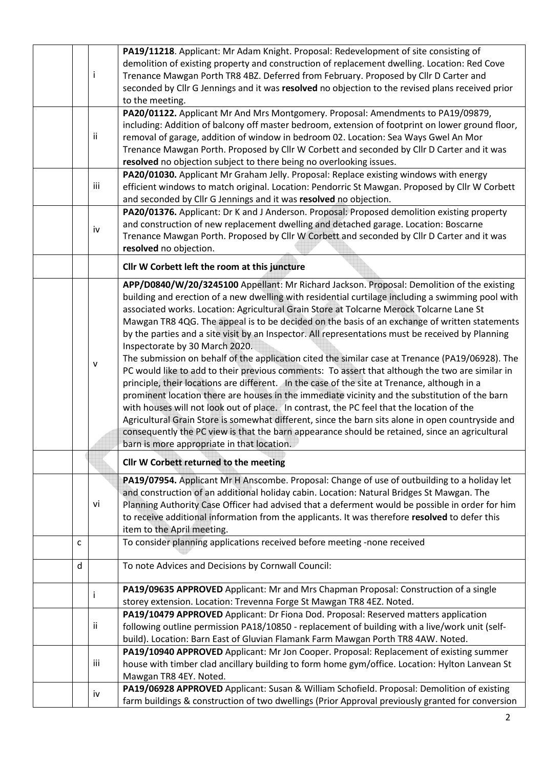|  | i                                                                                                                                                                                        | PA19/11218. Applicant: Mr Adam Knight. Proposal: Redevelopment of site consisting of<br>demolition of existing property and construction of replacement dwelling. Location: Red Cove<br>Trenance Mawgan Porth TR8 4BZ. Deferred from February. Proposed by Cllr D Carter and<br>seconded by Cllr G Jennings and it was resolved no objection to the revised plans received prior |  |  |  |
|--|------------------------------------------------------------------------------------------------------------------------------------------------------------------------------------------|----------------------------------------------------------------------------------------------------------------------------------------------------------------------------------------------------------------------------------------------------------------------------------------------------------------------------------------------------------------------------------|--|--|--|
|  |                                                                                                                                                                                          | to the meeting.                                                                                                                                                                                                                                                                                                                                                                  |  |  |  |
|  |                                                                                                                                                                                          | PA20/01122. Applicant Mr And Mrs Montgomery. Proposal: Amendments to PA19/09879,                                                                                                                                                                                                                                                                                                 |  |  |  |
|  |                                                                                                                                                                                          | including: Addition of balcony off master bedroom, extension of footprint on lower ground floor,                                                                                                                                                                                                                                                                                 |  |  |  |
|  | ii                                                                                                                                                                                       | removal of garage, addition of window in bedroom 02. Location: Sea Ways Gwel An Mor                                                                                                                                                                                                                                                                                              |  |  |  |
|  |                                                                                                                                                                                          | Trenance Mawgan Porth. Proposed by Cllr W Corbett and seconded by Cllr D Carter and it was                                                                                                                                                                                                                                                                                       |  |  |  |
|  |                                                                                                                                                                                          | resolved no objection subject to there being no overlooking issues.                                                                                                                                                                                                                                                                                                              |  |  |  |
|  |                                                                                                                                                                                          | PA20/01030. Applicant Mr Graham Jelly. Proposal: Replace existing windows with energy                                                                                                                                                                                                                                                                                            |  |  |  |
|  | iii                                                                                                                                                                                      | efficient windows to match original. Location: Pendorric St Mawgan. Proposed by Cllr W Corbett                                                                                                                                                                                                                                                                                   |  |  |  |
|  |                                                                                                                                                                                          | and seconded by Cllr G Jennings and it was resolved no objection.                                                                                                                                                                                                                                                                                                                |  |  |  |
|  |                                                                                                                                                                                          | PA20/01376. Applicant: Dr K and J Anderson. Proposal: Proposed demolition existing property                                                                                                                                                                                                                                                                                      |  |  |  |
|  | iv                                                                                                                                                                                       | and construction of new replacement dwelling and detached garage. Location: Boscarne                                                                                                                                                                                                                                                                                             |  |  |  |
|  |                                                                                                                                                                                          | Trenance Mawgan Porth. Proposed by Cllr W Corbett and seconded by Cllr D Carter and it was                                                                                                                                                                                                                                                                                       |  |  |  |
|  |                                                                                                                                                                                          | resolved no objection.                                                                                                                                                                                                                                                                                                                                                           |  |  |  |
|  |                                                                                                                                                                                          |                                                                                                                                                                                                                                                                                                                                                                                  |  |  |  |
|  |                                                                                                                                                                                          | Cllr W Corbett left the room at this juncture                                                                                                                                                                                                                                                                                                                                    |  |  |  |
|  |                                                                                                                                                                                          | APP/D0840/W/20/3245100 Appellant: Mr Richard Jackson. Proposal: Demolition of the existing                                                                                                                                                                                                                                                                                       |  |  |  |
|  |                                                                                                                                                                                          | building and erection of a new dwelling with residential curtilage including a swimming pool with                                                                                                                                                                                                                                                                                |  |  |  |
|  |                                                                                                                                                                                          | associated works. Location: Agricultural Grain Store at Tolcarne Merock Tolcarne Lane St                                                                                                                                                                                                                                                                                         |  |  |  |
|  |                                                                                                                                                                                          | Mawgan TR8 4QG. The appeal is to be decided on the basis of an exchange of written statements                                                                                                                                                                                                                                                                                    |  |  |  |
|  |                                                                                                                                                                                          | by the parties and a site visit by an Inspector. All representations must be received by Planning                                                                                                                                                                                                                                                                                |  |  |  |
|  |                                                                                                                                                                                          | Inspectorate by 30 March 2020.                                                                                                                                                                                                                                                                                                                                                   |  |  |  |
|  |                                                                                                                                                                                          | The submission on behalf of the application cited the similar case at Trenance (PA19/06928). The                                                                                                                                                                                                                                                                                 |  |  |  |
|  | $\mathsf{v}$                                                                                                                                                                             | PC would like to add to their previous comments: To assert that although the two are similar in                                                                                                                                                                                                                                                                                  |  |  |  |
|  |                                                                                                                                                                                          | principle, their locations are different. In the case of the site at Trenance, although in a                                                                                                                                                                                                                                                                                     |  |  |  |
|  |                                                                                                                                                                                          | prominent location there are houses in the immediate vicinity and the substitution of the barn                                                                                                                                                                                                                                                                                   |  |  |  |
|  |                                                                                                                                                                                          | with houses will not look out of place. In contrast, the PC feel that the location of the                                                                                                                                                                                                                                                                                        |  |  |  |
|  |                                                                                                                                                                                          | Agricultural Grain Store is somewhat different, since the barn sits alone in open countryside and                                                                                                                                                                                                                                                                                |  |  |  |
|  |                                                                                                                                                                                          | consequently the PC view is that the barn appearance should be retained, since an agricultural                                                                                                                                                                                                                                                                                   |  |  |  |
|  |                                                                                                                                                                                          | barn is more appropriate in that location.                                                                                                                                                                                                                                                                                                                                       |  |  |  |
|  |                                                                                                                                                                                          |                                                                                                                                                                                                                                                                                                                                                                                  |  |  |  |
|  |                                                                                                                                                                                          | Cllr W Corbett returned to the meeting                                                                                                                                                                                                                                                                                                                                           |  |  |  |
|  |                                                                                                                                                                                          | PA19/07954. Applicant Mr H Anscombe. Proposal: Change of use of outbuilding to a holiday let                                                                                                                                                                                                                                                                                     |  |  |  |
|  |                                                                                                                                                                                          | and construction of an additional holiday cabin. Location: Natural Bridges St Mawgan. The                                                                                                                                                                                                                                                                                        |  |  |  |
|  | vi                                                                                                                                                                                       | Planning Authority Case Officer had advised that a deferment would be possible in order for him                                                                                                                                                                                                                                                                                  |  |  |  |
|  |                                                                                                                                                                                          | to receive additional information from the applicants. It was therefore resolved to defer this                                                                                                                                                                                                                                                                                   |  |  |  |
|  |                                                                                                                                                                                          | item to the April meeting.                                                                                                                                                                                                                                                                                                                                                       |  |  |  |
|  | С                                                                                                                                                                                        | To consider planning applications received before meeting -none received                                                                                                                                                                                                                                                                                                         |  |  |  |
|  |                                                                                                                                                                                          |                                                                                                                                                                                                                                                                                                                                                                                  |  |  |  |
|  | d                                                                                                                                                                                        | To note Advices and Decisions by Cornwall Council:                                                                                                                                                                                                                                                                                                                               |  |  |  |
|  |                                                                                                                                                                                          |                                                                                                                                                                                                                                                                                                                                                                                  |  |  |  |
|  | i                                                                                                                                                                                        | PA19/09635 APPROVED Applicant: Mr and Mrs Chapman Proposal: Construction of a single                                                                                                                                                                                                                                                                                             |  |  |  |
|  |                                                                                                                                                                                          | storey extension. Location: Trevenna Forge St Mawgan TR8 4EZ. Noted.                                                                                                                                                                                                                                                                                                             |  |  |  |
|  |                                                                                                                                                                                          | PA19/10479 APPROVED Applicant: Dr Fiona Dod. Proposal: Reserved matters application                                                                                                                                                                                                                                                                                              |  |  |  |
|  | ii<br>following outline permission PA18/10850 - replacement of building with a live/work unit (self-<br>build). Location: Barn East of Gluvian Flamank Farm Mawgan Porth TR8 4AW. Noted. |                                                                                                                                                                                                                                                                                                                                                                                  |  |  |  |
|  |                                                                                                                                                                                          |                                                                                                                                                                                                                                                                                                                                                                                  |  |  |  |
|  |                                                                                                                                                                                          | PA19/10940 APPROVED Applicant: Mr Jon Cooper. Proposal: Replacement of existing summer                                                                                                                                                                                                                                                                                           |  |  |  |
|  | iii                                                                                                                                                                                      | house with timber clad ancillary building to form home gym/office. Location: Hylton Lanvean St                                                                                                                                                                                                                                                                                   |  |  |  |
|  | Mawgan TR8 4EY. Noted.                                                                                                                                                                   |                                                                                                                                                                                                                                                                                                                                                                                  |  |  |  |
|  |                                                                                                                                                                                          | PA19/06928 APPROVED Applicant: Susan & William Schofield. Proposal: Demolition of existing                                                                                                                                                                                                                                                                                       |  |  |  |
|  | iv                                                                                                                                                                                       | farm buildings & construction of two dwellings (Prior Approval previously granted for conversion                                                                                                                                                                                                                                                                                 |  |  |  |
|  |                                                                                                                                                                                          |                                                                                                                                                                                                                                                                                                                                                                                  |  |  |  |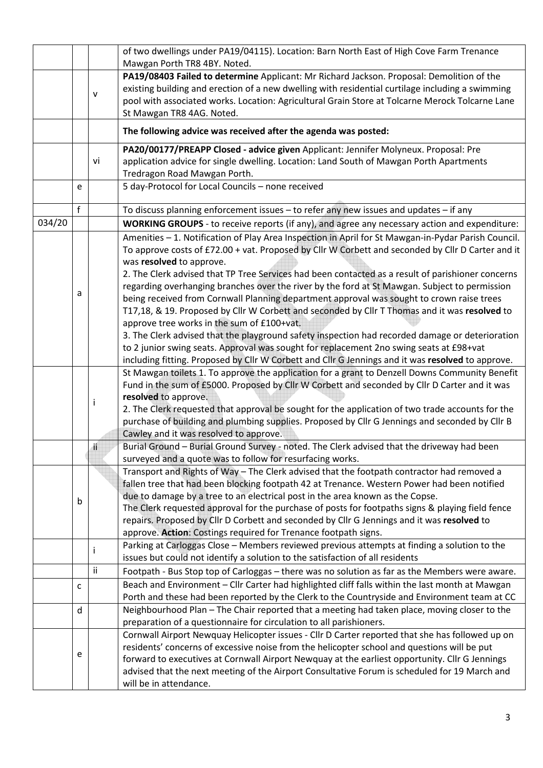|        |   |              | of two dwellings under PA19/04115). Location: Barn North East of High Cove Farm Trenance<br>Mawgan Porth TR8 4BY. Noted.                                                                                                                                                                                                      |  |  |  |  |
|--------|---|--------------|-------------------------------------------------------------------------------------------------------------------------------------------------------------------------------------------------------------------------------------------------------------------------------------------------------------------------------|--|--|--|--|
|        |   | $\mathsf{v}$ | PA19/08403 Failed to determine Applicant: Mr Richard Jackson. Proposal: Demolition of the<br>existing building and erection of a new dwelling with residential curtilage including a swimming<br>pool with associated works. Location: Agricultural Grain Store at Tolcarne Merock Tolcarne Lane<br>St Mawgan TR8 4AG. Noted. |  |  |  |  |
|        |   |              | The following advice was received after the agenda was posted:                                                                                                                                                                                                                                                                |  |  |  |  |
|        |   |              | PA20/00177/PREAPP Closed - advice given Applicant: Jennifer Molyneux. Proposal: Pre                                                                                                                                                                                                                                           |  |  |  |  |
|        |   | vi           | application advice for single dwelling. Location: Land South of Mawgan Porth Apartments                                                                                                                                                                                                                                       |  |  |  |  |
|        |   |              | Tredragon Road Mawgan Porth.                                                                                                                                                                                                                                                                                                  |  |  |  |  |
|        | е |              | 5 day-Protocol for Local Councils - none received                                                                                                                                                                                                                                                                             |  |  |  |  |
|        | f |              | To discuss planning enforcement issues $-$ to refer any new issues and updates $-$ if any                                                                                                                                                                                                                                     |  |  |  |  |
| 034/20 |   |              | <b>WORKING GROUPS</b> - to receive reports (if any), and agree any necessary action and expenditure:                                                                                                                                                                                                                          |  |  |  |  |
|        |   |              | Amenities - 1. Notification of Play Area Inspection in April for St Mawgan-in-Pydar Parish Council.<br>To approve costs of £72.00 + vat. Proposed by Cllr W Corbett and seconded by Cllr D Carter and it<br>was resolved to approve.                                                                                          |  |  |  |  |
|        |   |              | 2. The Clerk advised that TP Tree Services had been contacted as a result of parishioner concerns                                                                                                                                                                                                                             |  |  |  |  |
|        | а |              | regarding overhanging branches over the river by the ford at St Mawgan. Subject to permission                                                                                                                                                                                                                                 |  |  |  |  |
|        |   |              | being received from Cornwall Planning department approval was sought to crown raise trees                                                                                                                                                                                                                                     |  |  |  |  |
|        |   |              | T17,18, & 19. Proposed by Cllr W Corbett and seconded by Cllr T Thomas and it was resolved to                                                                                                                                                                                                                                 |  |  |  |  |
|        |   |              | approve tree works in the sum of £100+vat.<br>3. The Clerk advised that the playground safety inspection had recorded damage or deterioration                                                                                                                                                                                 |  |  |  |  |
|        |   |              | to 2 junior swing seats. Approval was sought for replacement 2no swing seats at £98+vat                                                                                                                                                                                                                                       |  |  |  |  |
|        |   |              | including fitting. Proposed by Cllr W Corbett and Cllr G Jennings and it was resolved to approve.                                                                                                                                                                                                                             |  |  |  |  |
|        |   |              | St Mawgan toilets 1. To approve the application for a grant to Denzell Downs Community Benefit                                                                                                                                                                                                                                |  |  |  |  |
|        |   |              | Fund in the sum of £5000. Proposed by Cllr W Corbett and seconded by Cllr D Carter and it was                                                                                                                                                                                                                                 |  |  |  |  |
|        |   | Ť            | resolved to approve.                                                                                                                                                                                                                                                                                                          |  |  |  |  |
|        |   |              | 2. The Clerk requested that approval be sought for the application of two trade accounts for the                                                                                                                                                                                                                              |  |  |  |  |
|        |   |              | purchase of building and plumbing supplies. Proposed by Cllr G Jennings and seconded by Cllr B                                                                                                                                                                                                                                |  |  |  |  |
|        |   | ii           | Cawley and it was resolved to approve.<br>Burial Ground - Burial Ground Survey - noted. The Clerk advised that the driveway had been                                                                                                                                                                                          |  |  |  |  |
|        |   |              | surveyed and a quote was to follow for resurfacing works.                                                                                                                                                                                                                                                                     |  |  |  |  |
|        |   |              | Transport and Rights of Way - The Clerk advised that the footpath contractor had removed a                                                                                                                                                                                                                                    |  |  |  |  |
|        |   |              | fallen tree that had been blocking footpath 42 at Trenance. Western Power had been notified                                                                                                                                                                                                                                   |  |  |  |  |
|        |   |              | due to damage by a tree to an electrical post in the area known as the Copse.                                                                                                                                                                                                                                                 |  |  |  |  |
|        | b |              | The Clerk requested approval for the purchase of posts for footpaths signs & playing field fence                                                                                                                                                                                                                              |  |  |  |  |
|        |   |              | repairs. Proposed by Cllr D Corbett and seconded by Cllr G Jennings and it was resolved to                                                                                                                                                                                                                                    |  |  |  |  |
|        |   |              | approve. Action: Costings required for Trenance footpath signs.                                                                                                                                                                                                                                                               |  |  |  |  |
|        |   | Ť            | Parking at Carloggas Close - Members reviewed previous attempts at finding a solution to the<br>issues but could not identify a solution to the satisfaction of all residents                                                                                                                                                 |  |  |  |  |
|        |   | ii           | Footpath - Bus Stop top of Carloggas - there was no solution as far as the Members were aware.                                                                                                                                                                                                                                |  |  |  |  |
|        | C |              | Beach and Environment - Cllr Carter had highlighted cliff falls within the last month at Mawgan                                                                                                                                                                                                                               |  |  |  |  |
|        |   |              | Porth and these had been reported by the Clerk to the Countryside and Environment team at CC                                                                                                                                                                                                                                  |  |  |  |  |
|        | d |              | Neighbourhood Plan - The Chair reported that a meeting had taken place, moving closer to the                                                                                                                                                                                                                                  |  |  |  |  |
|        |   |              | preparation of a questionnaire for circulation to all parishioners.                                                                                                                                                                                                                                                           |  |  |  |  |
|        |   |              | Cornwall Airport Newquay Helicopter issues - Cllr D Carter reported that she has followed up on                                                                                                                                                                                                                               |  |  |  |  |
|        | е |              | residents' concerns of excessive noise from the helicopter school and questions will be put                                                                                                                                                                                                                                   |  |  |  |  |
|        |   |              | forward to executives at Cornwall Airport Newquay at the earliest opportunity. Cllr G Jennings                                                                                                                                                                                                                                |  |  |  |  |
|        |   |              | advised that the next meeting of the Airport Consultative Forum is scheduled for 19 March and<br>will be in attendance.                                                                                                                                                                                                       |  |  |  |  |
|        |   |              |                                                                                                                                                                                                                                                                                                                               |  |  |  |  |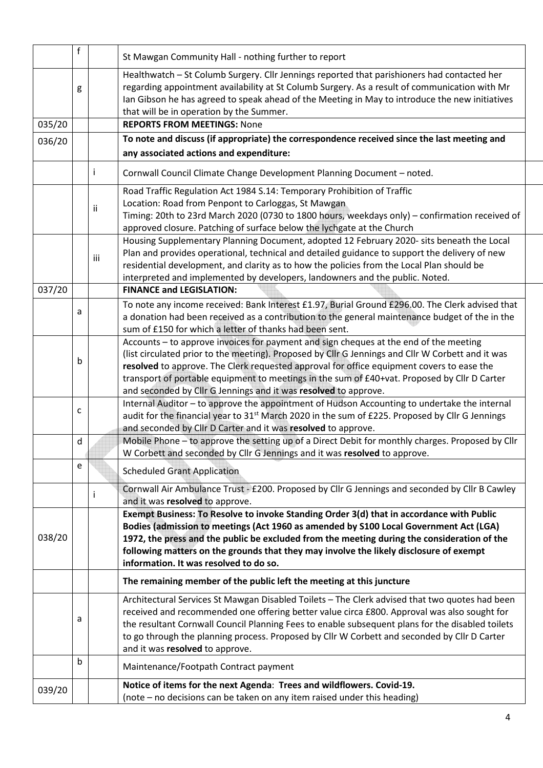|        | $\mathsf f$ |              | St Mawgan Community Hall - nothing further to report                                                                                                                                                                                                                                                                                                                                                                                                       |  |  |  |  |
|--------|-------------|--------------|------------------------------------------------------------------------------------------------------------------------------------------------------------------------------------------------------------------------------------------------------------------------------------------------------------------------------------------------------------------------------------------------------------------------------------------------------------|--|--|--|--|
|        | g           |              | Healthwatch - St Columb Surgery. Cllr Jennings reported that parishioners had contacted her<br>regarding appointment availability at St Columb Surgery. As a result of communication with Mr<br>Ian Gibson he has agreed to speak ahead of the Meeting in May to introduce the new initiatives<br>that will be in operation by the Summer.                                                                                                                 |  |  |  |  |
| 035/20 |             |              | <b>REPORTS FROM MEETINGS: None</b>                                                                                                                                                                                                                                                                                                                                                                                                                         |  |  |  |  |
| 036/20 |             |              | To note and discuss (if appropriate) the correspondence received since the last meeting and<br>any associated actions and expenditure:                                                                                                                                                                                                                                                                                                                     |  |  |  |  |
|        |             | $\mathbf{I}$ | Cornwall Council Climate Change Development Planning Document - noted.                                                                                                                                                                                                                                                                                                                                                                                     |  |  |  |  |
|        |             | ij           | Road Traffic Regulation Act 1984 S.14: Temporary Prohibition of Traffic<br>Location: Road from Penpont to Carloggas, St Mawgan<br>Timing: 20th to 23rd March 2020 (0730 to 1800 hours, weekdays only) - confirmation received of<br>approved closure. Patching of surface below the lychgate at the Church                                                                                                                                                 |  |  |  |  |
|        |             | iii          | Housing Supplementary Planning Document, adopted 12 February 2020- sits beneath the Local<br>Plan and provides operational, technical and detailed guidance to support the delivery of new<br>residential development, and clarity as to how the policies from the Local Plan should be<br>interpreted and implemented by developers, landowners and the public. Noted.                                                                                    |  |  |  |  |
| 037/20 |             |              | <b>FINANCE and LEGISLATION:</b>                                                                                                                                                                                                                                                                                                                                                                                                                            |  |  |  |  |
|        | a           |              | To note any income received: Bank Interest £1.97, Burial Ground £296.00. The Clerk advised that<br>a donation had been received as a contribution to the general maintenance budget of the in the<br>sum of £150 for which a letter of thanks had been sent.                                                                                                                                                                                               |  |  |  |  |
|        | b           |              | Accounts - to approve invoices for payment and sign cheques at the end of the meeting<br>(list circulated prior to the meeting). Proposed by Cllr G Jennings and Cllr W Corbett and it was<br>resolved to approve. The Clerk requested approval for office equipment covers to ease the<br>transport of portable equipment to meetings in the sum of £40+vat. Proposed by Cllr D Carter<br>and seconded by Cllr G Jennings and it was resolved to approve. |  |  |  |  |
|        | c           |              | Internal Auditor - to approve the appointment of Hudson Accounting to undertake the internal<br>audit for the financial year to 31 <sup>st</sup> March 2020 in the sum of £225. Proposed by Cllr G Jennings<br>and seconded by Cllr D Carter and it was resolved to approve.                                                                                                                                                                               |  |  |  |  |
|        | d           |              | Mobile Phone - to approve the setting up of a Direct Debit for monthly charges. Proposed by Cllr<br>W Corbett and seconded by Cllr G Jennings and it was resolved to approve.                                                                                                                                                                                                                                                                              |  |  |  |  |
|        | e           |              | <b>Scheduled Grant Application</b>                                                                                                                                                                                                                                                                                                                                                                                                                         |  |  |  |  |
|        |             |              | Cornwall Air Ambulance Trust - £200. Proposed by Cllr G Jennings and seconded by Cllr B Cawley<br>and it was resolved to approve.                                                                                                                                                                                                                                                                                                                          |  |  |  |  |
| 038/20 |             |              | Exempt Business: To Resolve to invoke Standing Order 3(d) that in accordance with Public<br>Bodies (admission to meetings (Act 1960 as amended by S100 Local Government Act (LGA)<br>1972, the press and the public be excluded from the meeting during the consideration of the<br>following matters on the grounds that they may involve the likely disclosure of exempt<br>information. It was resolved to do so.                                       |  |  |  |  |
|        |             |              | The remaining member of the public left the meeting at this juncture                                                                                                                                                                                                                                                                                                                                                                                       |  |  |  |  |
|        | a           |              | Architectural Services St Mawgan Disabled Toilets - The Clerk advised that two quotes had been<br>received and recommended one offering better value circa £800. Approval was also sought for<br>the resultant Cornwall Council Planning Fees to enable subsequent plans for the disabled toilets<br>to go through the planning process. Proposed by Cllr W Corbett and seconded by Cllr D Carter<br>and it was resolved to approve.                       |  |  |  |  |
|        | b           |              | Maintenance/Footpath Contract payment                                                                                                                                                                                                                                                                                                                                                                                                                      |  |  |  |  |
| 039/20 |             |              | Notice of items for the next Agenda: Trees and wildflowers. Covid-19.<br>(note - no decisions can be taken on any item raised under this heading)                                                                                                                                                                                                                                                                                                          |  |  |  |  |